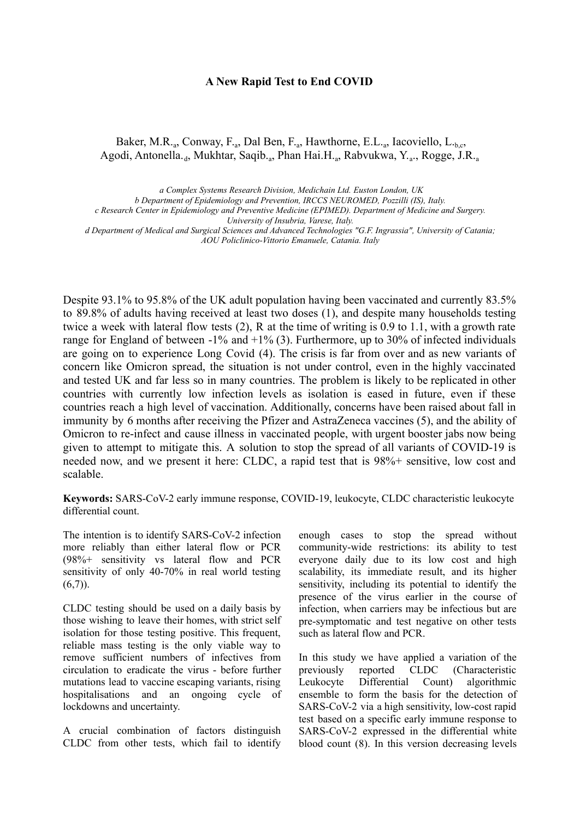#### **A New Rapid Test to End COVID**

## Baker, M.R.<sub>a</sub>, Conway, F.<sub>a</sub>, Dal Ben, F.<sub>a</sub>, Hawthorne, E.L.<sub>a</sub>, Iacoviello, L.<sub>b,c</sub>, Agodi, Antonella.<sub>d</sub>, Mukhtar, Saqib.<sub>a</sub>, Phan Hai.H.<sub>a</sub>, Rabvukwa, Y.<sub>a</sub>., Rogge, J.R.<sub>a</sub>

*a Complex Systems Research Division, Medichain Ltd. Euston London, UK*

*b Department of Epidemiology and Prevention, IRCCS NEUROMED, Pozzilli (IS), Italy.*

*c Research Center in Epidemiology and Preventive Medicine (EPIMED). Department of Medicine and Surgery.*

*University of Insubria, Varese, Italy.*

*d Department of Medical and Surgical Sciences and Advanced Technologies "G.F. Ingrassia", University of Catania; AOU Policlinico-Vittorio Emanuele, Catania. Italy*

Despite 93.1% to 95.8% of the UK adult population having been vaccinated and currently 83.5% to 89.8% of adults having received at least two doses (1), and despite many households testing twice a week with lateral flow tests (2), R at the time of writing is 0.9 to 1.1, with a growth rate range for England of between  $-1\%$  and  $+1\%$  (3). Furthermore, up to 30% of infected individuals are going on to experience Long Covid (4). The crisis is far from over and as new variants of concern like Omicron spread, the situation is not under control, even in the highly vaccinated and tested UK and far less so in many countries. The problem is likely to be replicated in other countries with currently low infection levels as isolation is eased in future, even if these countries reach a high level of vaccination. Additionally, concerns have been raised about fall in immunity by 6 months after receiving the Pfizer and AstraZeneca vaccines (5), and the ability of Omicron to re-infect and cause illness in vaccinated people, with urgent booster jabs now being given to attempt to mitigate this. A solution to stop the spread of all variants of COVID-19 is needed now, and we present it here: CLDC, a rapid test that is 98%+ sensitive, low cost and scalable.

**Keywords:** SARS-CoV-2 early immune response, COVID-19, leukocyte, CLDC characteristic leukocyte differential count.

The intention is to identify SARS-CoV-2 infection more reliably than either lateral flow or PCR (98%+ sensitivity vs lateral flow and PCR sensitivity of only 40-70% in real world testing  $(6,7)$ ).

CLDC testing should be used on a daily basis by those wishing to leave their homes, with strict self isolation for those testing positive. This frequent, reliable mass testing is the only viable way to remove sufficient numbers of infectives from circulation to eradicate the virus - before further mutations lead to vaccine escaping variants, rising hospitalisations and an ongoing cycle of lockdowns and uncertainty.

A crucial combination of factors distinguish CLDC from other tests, which fail to identify enough cases to stop the spread without community-wide restrictions: its ability to test everyone daily due to its low cost and high scalability, its immediate result, and its higher sensitivity, including its potential to identify the presence of the virus earlier in the course of infection, when carriers may be infectious but are pre-symptomatic and test negative on other tests such as lateral flow and PCR.

In this study we have applied a variation of the previously reported CLDC (Characteristic Leukocyte Differential Count) algorithmic ensemble to form the basis for the detection of SARS-CoV-2 via a high sensitivity, low-cost rapid test based on a specific early immune response to SARS-CoV-2 expressed in the differential white blood count (8). In this version decreasing levels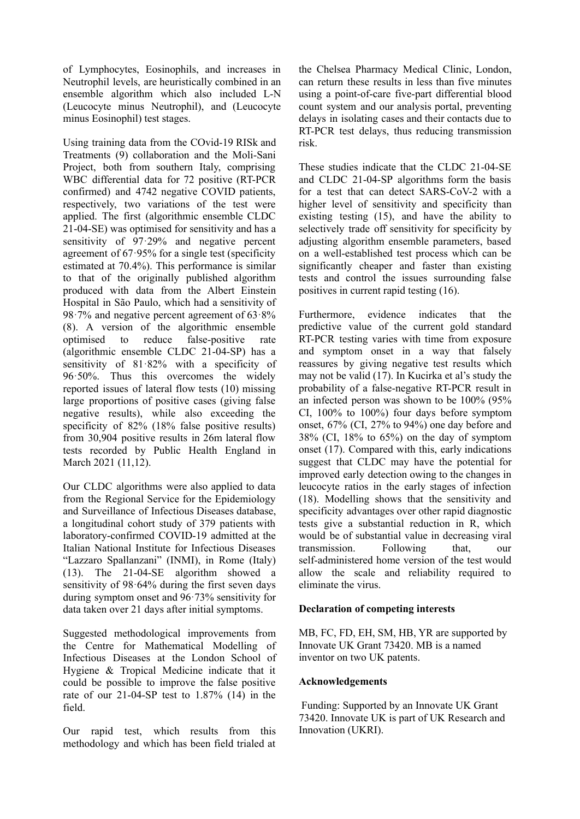of Lymphocytes, Eosinophils, and increases in Neutrophil levels, are heuristically combined in an ensemble algorithm which also included L-N (Leucocyte minus Neutrophil), and (Leucocyte minus Eosinophil) test stages.

Using training data from the COvid-19 RISk and Treatments (9) collaboration and the Moli-Sani Project, both from southern Italy, comprising WBC differential data for 72 positive (RT-PCR confirmed) and 4742 negative COVID patients, respectively, two variations of the test were applied. The first (algorithmic ensemble CLDC 21-04-SE) was optimised for sensitivity and has a sensitivity of 97·29% and negative percent agreement of 67·95% for a single test (specificity estimated at 70.4%). This performance is similar to that of the originally published algorithm produced with data from the Albert Einstein Hospital in São Paulo, which had a sensitivity of 98·7% and negative percent agreement of 63·8% (8). A version of the algorithmic ensemble optimised to reduce false-positive rate (algorithmic ensemble CLDC 21-04-SP) has a sensitivity of 81·82% with a specificity of 96·50%. Thus this overcomes the widely reported issues of lateral flow tests (10) missing large proportions of positive cases (giving false negative results), while also exceeding the specificity of 82% (18% false positive results) from 30,904 positive results in 26m lateral flow tests recorded by Public Health England in March 2021 (11,12).

Our CLDC algorithms were also applied to data from the Regional Service for the Epidemiology and Surveillance of Infectious Diseases database, a longitudinal cohort study of 379 patients with laboratory-confirmed COVID-19 admitted at the Italian National Institute for Infectious Diseases "Lazzaro Spallanzani" (INMI), in Rome (Italy) (13). The 21-04-SE algorithm showed a sensitivity of 98·64% during the first seven days during symptom onset and 96·73% sensitivity for data taken over 21 days after initial symptoms.

Suggested methodological improvements from the Centre for Mathematical Modelling of Infectious Diseases at the London School of Hygiene & Tropical Medicine indicate that it could be possible to improve the false positive rate of our 21-04-SP test to 1.87% (14) in the field.

Our rapid test, which results from this methodology and which has been field trialed at the Chelsea Pharmacy Medical Clinic, London, can return these results in less than five minutes using a point-of-care five-part differential blood count system and our analysis portal, preventing delays in isolating cases and their contacts due to RT-PCR test delays, thus reducing transmission risk.

These studies indicate that the CLDC 21-04-SE and CLDC 21-04-SP algorithms form the basis for a test that can detect SARS-CoV-2 with a higher level of sensitivity and specificity than existing testing (15), and have the ability to selectively trade off sensitivity for specificity by adjusting algorithm ensemble parameters, based on a well-established test process which can be significantly cheaper and faster than existing tests and control the issues surrounding false positives in current rapid testing (16).

Furthermore, evidence indicates that the predictive value of the current gold standard RT-PCR testing varies with time from exposure and symptom onset in a way that falsely reassures by giving negative test results which may not be valid (17). In Kucirka et al's study the probability of a false-negative RT-PCR result in an infected person was shown to be 100% (95% CI, 100% to 100%) four days before symptom onset, 67% (CI, 27% to 94%) one day before and  $38\%$  (CI,  $18\%$  to  $65\%$ ) on the day of symptom onset (17). Compared with this, early indications suggest that CLDC may have the potential for improved early detection owing to the changes in leucocyte ratios in the early stages of infection (18). Modelling shows that the sensitivity and specificity advantages over other rapid diagnostic tests give a substantial reduction in R, which would be of substantial value in decreasing viral transmission. Following that, our self-administered home version of the test would allow the scale and reliability required to eliminate the virus.

### **Declaration of competing interests**

MB, FC, FD, EH, SM, HB, YR are supported by Innovate UK Grant 73420. MB is a named inventor on two UK patents.

### **Acknowledgements**

Funding: Supported by an Innovate UK Grant 73420. Innovate UK is part of UK Research and Innovation (UKRI).